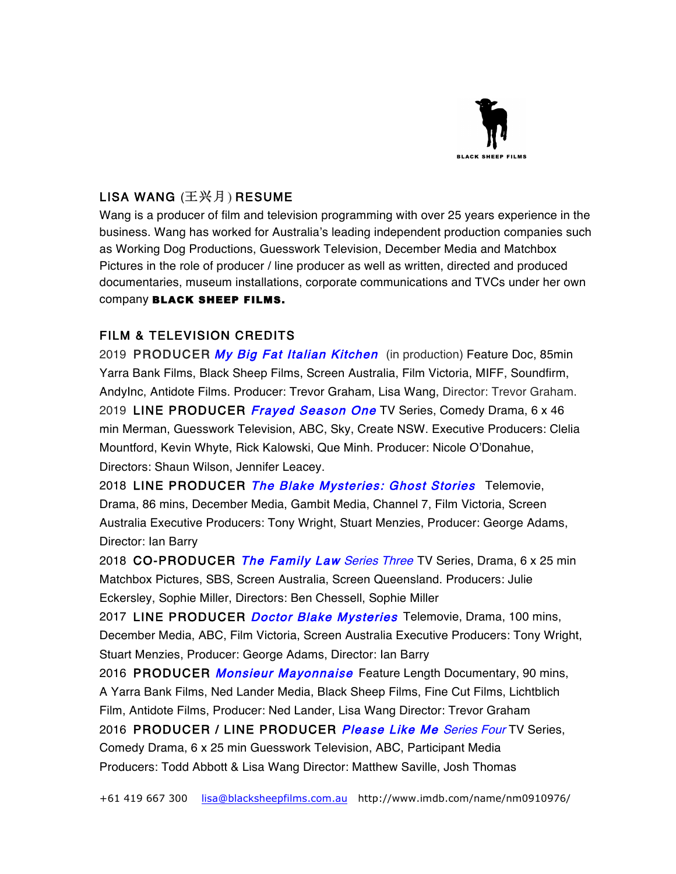

## LISA WANG (王兴月) RESUME

Wang is a producer of film and television programming with over 25 years experience in the business. Wang has worked for Australia's leading independent production companies such as Working Dog Productions, Guesswork Television, December Media and Matchbox Pictures in the role of producer / line producer as well as written, directed and produced documentaries, museum installations, corporate communications and TVCs under her own company BLACK SHEEP FILMS.

## FILM & TELEVISION CREDITS

2019 PRODUCER My Big Fat Italian Kitchen (in production) Feature Doc, 85min Yarra Bank Films, Black Sheep Films, Screen Australia, Film Victoria, MIFF, Soundfirm, AndyInc, Antidote Films. Producer: Trevor Graham, Lisa Wang, Director: Trevor Graham. 2019 LINE PRODUCER *Frayed Season One* TV Series, Comedy Drama, 6 x 46 min Merman, Guesswork Television, ABC, Sky, Create NSW. Executive Producers: Clelia Mountford, Kevin Whyte, Rick Kalowski, Que Minh. Producer: Nicole O'Donahue, Directors: Shaun Wilson, Jennifer Leacey.

2018 LINE PRODUCER The Blake Mysteries: Ghost Stories Telemovie, Drama, 86 mins, December Media, Gambit Media, Channel 7, Film Victoria, Screen Australia Executive Producers: Tony Wright, Stuart Menzies, Producer: George Adams, Director: Ian Barry

2018 CO-PRODUCER The Family Law Series Three TV Series, Drama, 6 x 25 min Matchbox Pictures, SBS, Screen Australia, Screen Queensland. Producers: Julie Eckersley, Sophie Miller, Directors: Ben Chessell, Sophie Miller

2017 LINE PRODUCER *Doctor Blake Mysteries* Telemovie, Drama, 100 mins, December Media, ABC, Film Victoria, Screen Australia Executive Producers: Tony Wright, Stuart Menzies, Producer: George Adams, Director: Ian Barry

2016 PRODUCER Monsieur Mayonnaise Feature Length Documentary, 90 mins, A Yarra Bank Films, Ned Lander Media, Black Sheep Films, Fine Cut Films, Lichtblich Film, Antidote Films, Producer: Ned Lander, Lisa Wang Director: Trevor Graham 2016 PRODUCER / LINE PRODUCER Please Like Me Series Four TV Series, Comedy Drama, 6 x 25 min Guesswork Television, ABC, Participant Media Producers: Todd Abbott & Lisa Wang Director: Matthew Saville, Josh Thomas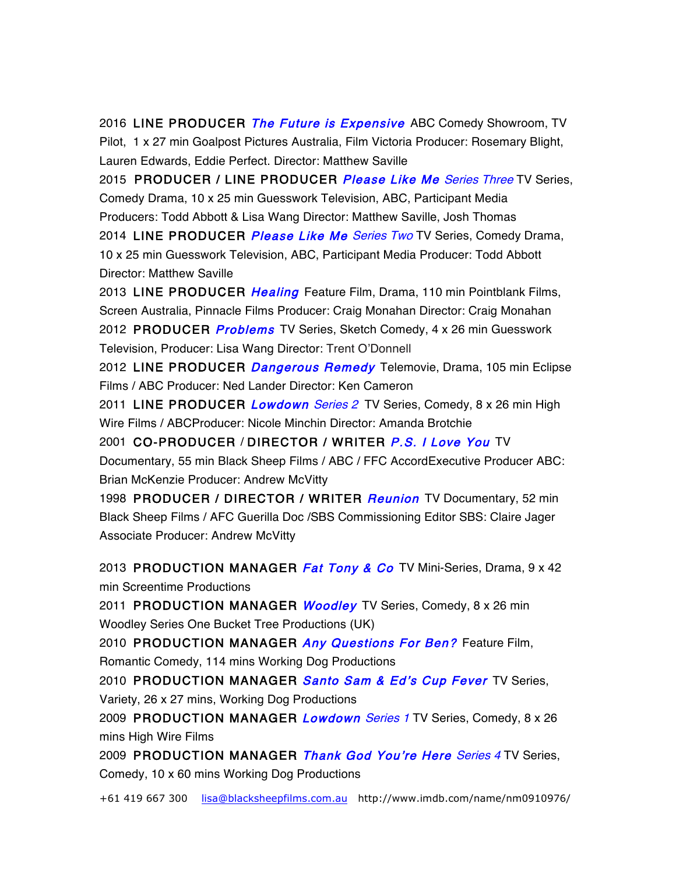2016 LINE PRODUCER The Future is Expensive ABC Comedy Showroom, TV Pilot, 1 x 27 min Goalpost Pictures Australia, Film Victoria Producer: Rosemary Blight, Lauren Edwards, Eddie Perfect. Director: Matthew Saville

2015 PRODUCER / LINE PRODUCER Please Like Me Series Three TV Series, Comedy Drama, 10 x 25 min Guesswork Television, ABC, Participant Media Producers: Todd Abbott & Lisa Wang Director: Matthew Saville, Josh Thomas 2014 LINE PRODUCER Please Like Me Series Two TV Series, Comedy Drama, 10 x 25 min Guesswork Television, ABC, Participant Media Producer: Todd Abbott Director: Matthew Saville

2013 LINE PRODUCER *Healing* Feature Film, Drama, 110 min Pointblank Films, Screen Australia, Pinnacle Films Producer: Craig Monahan Director: Craig Monahan 2012 PRODUCER *Problems* TV Series, Sketch Comedy, 4 x 26 min Guesswork Television, Producer: Lisa Wang Director: Trent O'Donnell

2012 LINE PRODUCER *Dangerous Remedy* Telemovie, Drama, 105 min Eclipse Films / ABC Producer: Ned Lander Director: Ken Cameron

2011 LINE PRODUCER *Lowdown Series 2* TV Series, Comedy, 8 x 26 min High Wire Films / ABCProducer: Nicole Minchin Director: Amanda Brotchie

2001 CO-PRODUCER / DIRECTOR / WRITER P.S. I Love You TV Documentary, 55 min Black Sheep Films / ABC / FFC AccordExecutive Producer ABC: Brian McKenzie Producer: Andrew McVitty

1998 PRODUCER / DIRECTOR / WRITER *Reunion* TV Documentary, 52 min Black Sheep Films / AFC Guerilla Doc /SBS Commissioning Editor SBS: Claire Jager Associate Producer: Andrew McVitty

2013 PRODUCTION MANAGER *Fat Tony & Co* TV Mini-Series, Drama, 9 x 42 min Screentime Productions

2011 PRODUCTION MANAGER *Woodley* TV Series, Comedy, 8 x 26 min Woodley Series One Bucket Tree Productions (UK)

2010 PRODUCTION MANAGER Any Questions For Ben? Feature Film, Romantic Comedy, 114 mins Working Dog Productions

2010 PRODUCTION MANAGER Santo Sam & Ed's Cup Fever TV Series, Variety, 26 x 27 mins, Working Dog Productions

2009 PRODUCTION MANAGER Lowdown Series 1 TV Series, Comedy, 8 x 26 mins High Wire Films

2009 PRODUCTION MANAGER Thank God You're Here Series 4 TV Series, Comedy, 10 x 60 mins Working Dog Productions

+61 419 667 300 lisa@blacksheepfilms.com.au http://www.imdb.com/name/nm0910976/